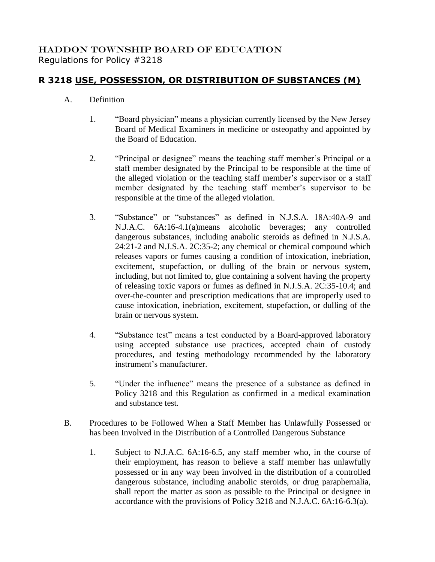## HADDON TOWNSHIP BOARD OF EDUCATION Regulations for Policy #3218

## **R 3218 USE, POSSESSION, OR DISTRIBUTION OF SUBSTANCES (M)**

## A. Definition

- 1. "Board physician" means a physician currently licensed by the New Jersey Board of Medical Examiners in medicine or osteopathy and appointed by the Board of Education.
- 2. "Principal or designee" means the teaching staff member's Principal or a staff member designated by the Principal to be responsible at the time of the alleged violation or the teaching staff member's supervisor or a staff member designated by the teaching staff member's supervisor to be responsible at the time of the alleged violation.
- 3. "Substance" or "substances" as defined in N.J.S.A. 18A:40A-9 and N.J.A.C. 6A:16-4.1(a)means alcoholic beverages; any controlled dangerous substances, including anabolic steroids as defined in N.J.S.A. 24:21-2 and N.J.S.A. 2C:35-2; any chemical or chemical compound which releases vapors or fumes causing a condition of intoxication, inebriation, excitement, stupefaction, or dulling of the brain or nervous system, including, but not limited to, glue containing a solvent having the property of releasing toxic vapors or fumes as defined in N.J.S.A. 2C:35-10.4; and over-the-counter and prescription medications that are improperly used to cause intoxication, inebriation, excitement, stupefaction, or dulling of the brain or nervous system.
- 4. "Substance test" means a test conducted by a Board-approved laboratory using accepted substance use practices, accepted chain of custody procedures, and testing methodology recommended by the laboratory instrument's manufacturer.
- 5. "Under the influence" means the presence of a substance as defined in Policy 3218 and this Regulation as confirmed in a medical examination and substance test.
- B. Procedures to be Followed When a Staff Member has Unlawfully Possessed or has been Involved in the Distribution of a Controlled Dangerous Substance
	- 1. Subject to N.J.A.C. 6A:16-6.5, any staff member who, in the course of their employment, has reason to believe a staff member has unlawfully possessed or in any way been involved in the distribution of a controlled dangerous substance, including anabolic steroids, or drug paraphernalia, shall report the matter as soon as possible to the Principal or designee in accordance with the provisions of Policy 3218 and N.J.A.C. 6A:16-6.3(a).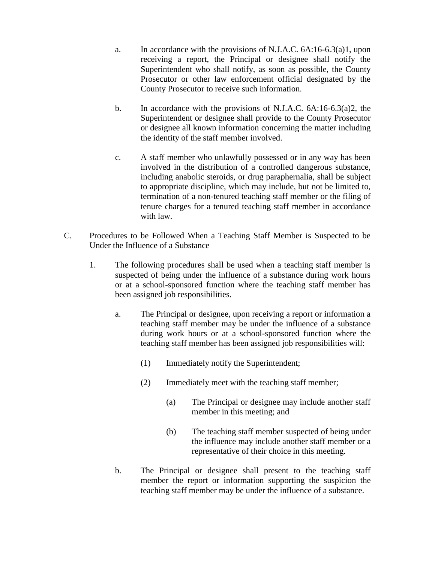- a. In accordance with the provisions of N.J.A.C. 6A:16-6.3(a)1, upon receiving a report, the Principal or designee shall notify the Superintendent who shall notify, as soon as possible, the County Prosecutor or other law enforcement official designated by the County Prosecutor to receive such information.
- b. In accordance with the provisions of N.J.A.C. 6A:16-6.3(a)2, the Superintendent or designee shall provide to the County Prosecutor or designee all known information concerning the matter including the identity of the staff member involved.
- c. A staff member who unlawfully possessed or in any way has been involved in the distribution of a controlled dangerous substance, including anabolic steroids, or drug paraphernalia, shall be subject to appropriate discipline, which may include, but not be limited to, termination of a non-tenured teaching staff member or the filing of tenure charges for a tenured teaching staff member in accordance with law.
- C. Procedures to be Followed When a Teaching Staff Member is Suspected to be Under the Influence of a Substance
	- 1. The following procedures shall be used when a teaching staff member is suspected of being under the influence of a substance during work hours or at a school-sponsored function where the teaching staff member has been assigned job responsibilities.
		- a. The Principal or designee, upon receiving a report or information a teaching staff member may be under the influence of a substance during work hours or at a school-sponsored function where the teaching staff member has been assigned job responsibilities will:
			- (1) Immediately notify the Superintendent;
			- (2) Immediately meet with the teaching staff member;
				- (a) The Principal or designee may include another staff member in this meeting; and
				- (b) The teaching staff member suspected of being under the influence may include another staff member or a representative of their choice in this meeting.
		- b. The Principal or designee shall present to the teaching staff member the report or information supporting the suspicion the teaching staff member may be under the influence of a substance.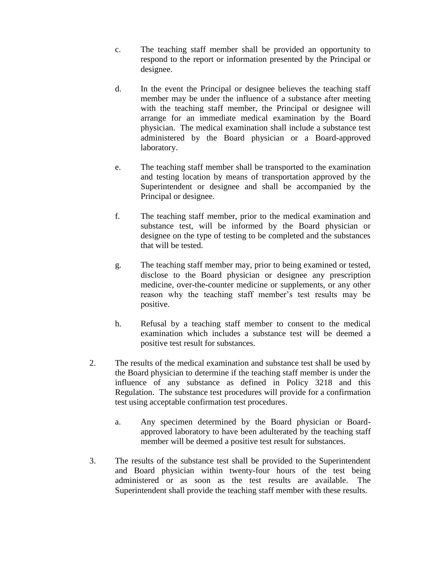- c. The teaching staff member shall be provided an opportunity to respond to the report or information presented by the Principal or designee.
- d. In the event the Principal or designee believes the teaching staff member may be under the influence of a substance after meeting with the teaching staff member, the Principal or designee will arrange for an immediate medical examination by the Board physician. The medical examination shall include a substance test administered by the Board physician or a Board-approved laboratory.
- e. The teaching staff member shall be transported to the examination and testing location by means of transportation approved by the Superintendent or designee and shall be accompanied by the Principal or designee.
- f. The teaching staff member, prior to the medical examination and substance test, will be informed by the Board physician or designee on the type of testing to be completed and the substances that will be tested.
- g. The teaching staff member may, prior to being examined or tested, disclose to the Board physician or designee any prescription medicine, over-the-counter medicine or supplements, or any other reason why the teaching staff member's test results may be positive.
- h. Refusal by a teaching staff member to consent to the medical examination which includes a substance test will be deemed a positive test result for substances.
- 2. The results of the medical examination and substance test shall be used by the Board physician to determine if the teaching staff member is under the influence of any substance as defined in Policy 3218 and this Regulation. The substance test procedures will provide for a confirmation test using acceptable confirmation test procedures.
	- a. Any specimen determined by the Board physician or Boardapproved laboratory to have been adulterated by the teaching staff member will be deemed a positive test result for substances.
- 3. The results of the substance test shall be provided to the Superintendent and Board physician within twenty-four hours of the test being administered or as soon as the test results are available. The Superintendent shall provide the teaching staff member with these results.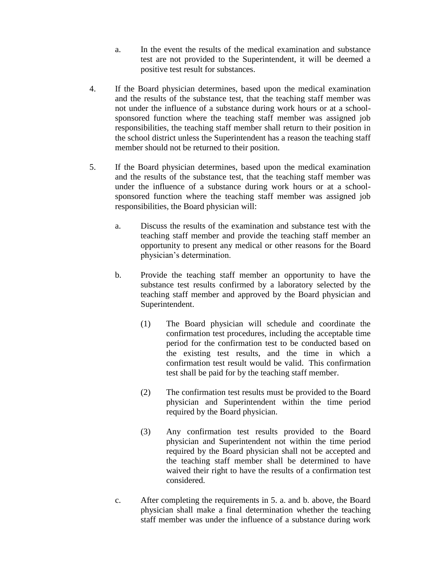- a. In the event the results of the medical examination and substance test are not provided to the Superintendent, it will be deemed a positive test result for substances.
- 4. If the Board physician determines, based upon the medical examination and the results of the substance test, that the teaching staff member was not under the influence of a substance during work hours or at a schoolsponsored function where the teaching staff member was assigned job responsibilities, the teaching staff member shall return to their position in the school district unless the Superintendent has a reason the teaching staff member should not be returned to their position.
- 5. If the Board physician determines, based upon the medical examination and the results of the substance test, that the teaching staff member was under the influence of a substance during work hours or at a schoolsponsored function where the teaching staff member was assigned job responsibilities, the Board physician will:
	- a. Discuss the results of the examination and substance test with the teaching staff member and provide the teaching staff member an opportunity to present any medical or other reasons for the Board physician's determination.
	- b. Provide the teaching staff member an opportunity to have the substance test results confirmed by a laboratory selected by the teaching staff member and approved by the Board physician and Superintendent.
		- (1) The Board physician will schedule and coordinate the confirmation test procedures, including the acceptable time period for the confirmation test to be conducted based on the existing test results, and the time in which a confirmation test result would be valid. This confirmation test shall be paid for by the teaching staff member.
		- (2) The confirmation test results must be provided to the Board physician and Superintendent within the time period required by the Board physician.
		- (3) Any confirmation test results provided to the Board physician and Superintendent not within the time period required by the Board physician shall not be accepted and the teaching staff member shall be determined to have waived their right to have the results of a confirmation test considered.
	- c. After completing the requirements in 5. a. and b. above, the Board physician shall make a final determination whether the teaching staff member was under the influence of a substance during work